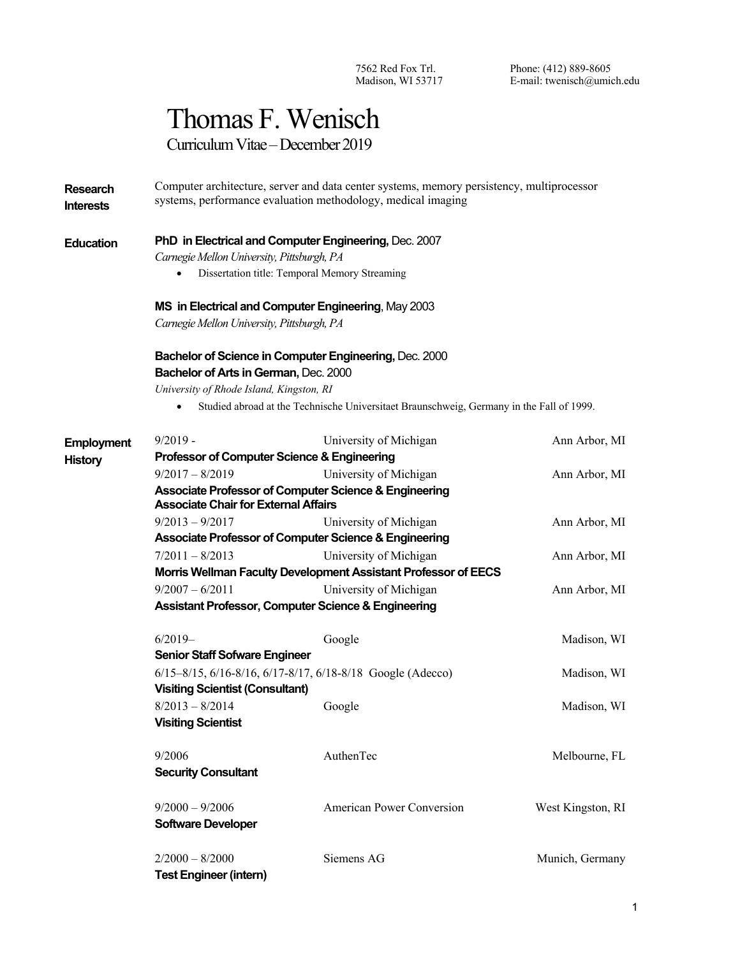7562 Red Fox Trl. Madison, WI 53717 Phone: (412) 889-8605 E-mail: twenisch@umich.edu

# Thomas F. Wenisch

Curriculum Vitae – December 2019

**Research Interests** Computer architecture, server and data center systems, memory persistency, multiprocessor systems, performance evaluation methodology, medical imaging

#### **Education PhD in Electrical and Computer Engineering, Dec. 2007**

*Carnegie Mellon University, Pittsburgh, PA*

• Dissertation title: Temporal Memory Streaming

#### **MS in Electrical and Computer Engineering**, May 2003

*Carnegie Mellon University, Pittsburgh, PA*

### **Bachelor of Science in Computer Engineering,** Dec. 2000 **Bachelor of Arts in German,** Dec. 2000

*University of Rhode Island, Kingston, RI*

• Studied abroad at the Technische Universitaet Braunschweig, Germany in the Fall of 1999.

| <b>Employment</b> | $9/2019 -$                                                                                           | University of Michigan                                         | Ann Arbor, MI     |  |
|-------------------|------------------------------------------------------------------------------------------------------|----------------------------------------------------------------|-------------------|--|
| <b>History</b>    | Professor of Computer Science & Engineering                                                          |                                                                |                   |  |
|                   | $9/2017 - 8/2019$                                                                                    | University of Michigan                                         | Ann Arbor, MI     |  |
|                   | Associate Professor of Computer Science & Engineering<br><b>Associate Chair for External Affairs</b> |                                                                |                   |  |
|                   | $9/2013 - 9/2017$                                                                                    | University of Michigan                                         | Ann Arbor, MI     |  |
|                   |                                                                                                      | Associate Professor of Computer Science & Engineering          |                   |  |
|                   | $7/2011 - 8/2013$                                                                                    | University of Michigan                                         | Ann Arbor, MI     |  |
|                   |                                                                                                      | Morris Wellman Faculty Development Assistant Professor of EECS |                   |  |
|                   | $9/2007 - 6/2011$                                                                                    | University of Michigan                                         | Ann Arbor, MI     |  |
|                   | <b>Assistant Professor, Computer Science &amp; Engineering</b>                                       |                                                                |                   |  |
|                   | $6/2019-$                                                                                            | Google                                                         | Madison, WI       |  |
|                   | <b>Senior Staff Sofware Engineer</b>                                                                 |                                                                |                   |  |
|                   | $6/15 - 8/15$ , $6/16 - 8/16$ , $6/17 - 8/17$ , $6/18 - 8/18$ Google (Adecco)                        | Madison, WI                                                    |                   |  |
|                   | <b>Visiting Scientist (Consultant)</b>                                                               |                                                                |                   |  |
|                   | $8/2013 - 8/2014$                                                                                    | Google                                                         | Madison, WI       |  |
|                   | <b>Visiting Scientist</b>                                                                            |                                                                |                   |  |
|                   | 9/2006                                                                                               | AuthenTec                                                      | Melbourne, FL     |  |
|                   | <b>Security Consultant</b>                                                                           |                                                                |                   |  |
|                   | $9/2000 - 9/2006$                                                                                    | <b>American Power Conversion</b>                               | West Kingston, RI |  |
|                   | <b>Software Developer</b>                                                                            |                                                                |                   |  |
|                   | $2/2000 - 8/2000$                                                                                    | Siemens AG                                                     | Munich, Germany   |  |
|                   | <b>Test Engineer (intern)</b>                                                                        |                                                                |                   |  |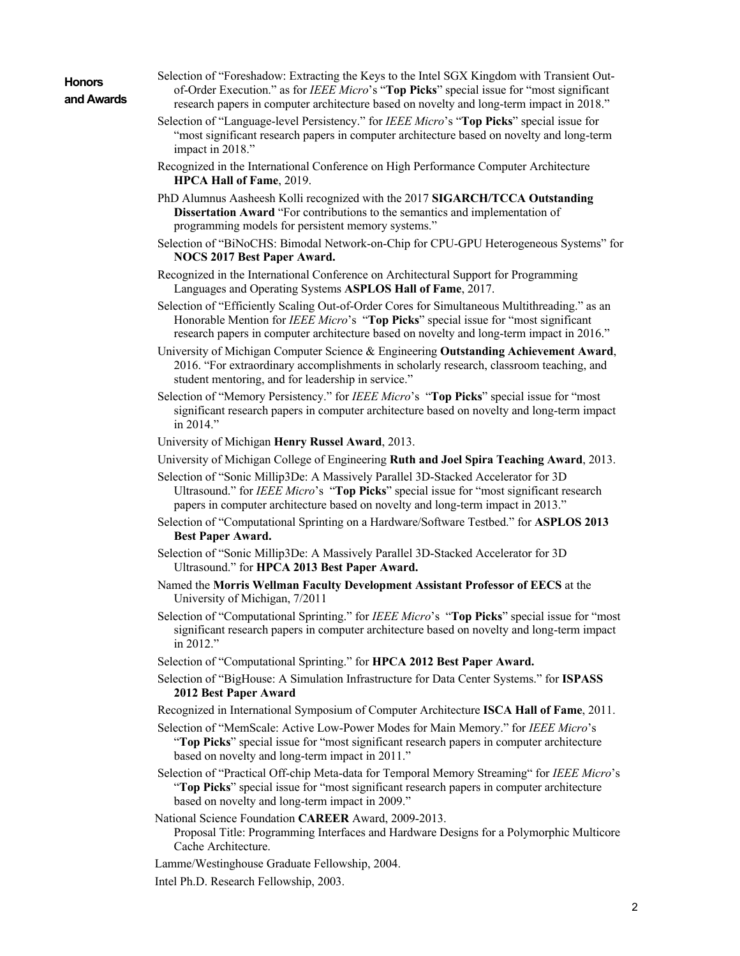| <b>Honors</b> |            |
|---------------|------------|
|               | and Awards |

- Selection of "Foreshadow: Extracting the Keys to the Intel SGX Kingdom with Transient Outof-Order Execution." as for *IEEE Micro*'s "**Top Picks**" special issue for "most significant research papers in computer architecture based on novelty and long-term impact in 2018."
- Selection of "Language-level Persistency." for *IEEE Micro*'s "**Top Picks**" special issue for "most significant research papers in computer architecture based on novelty and long-term impact in 2018."
- Recognized in the International Conference on High Performance Computer Architecture **HPCA Hall of Fame**, 2019.
- PhD Alumnus Aasheesh Kolli recognized with the 2017 **SIGARCH/TCCA Outstanding Dissertation Award** "For contributions to the semantics and implementation of programming models for persistent memory systems."
- Selection of "BiNoCHS: Bimodal Network-on-Chip for CPU-GPU Heterogeneous Systems" for **NOCS 2017 Best Paper Award.**
- Recognized in the International Conference on Architectural Support for Programming Languages and Operating Systems **ASPLOS Hall of Fame**, 2017.
- Selection of "Efficiently Scaling Out-of-Order Cores for Simultaneous Multithreading." as an Honorable Mention for *IEEE Micro*'s "**Top Picks**" special issue for "most significant research papers in computer architecture based on novelty and long-term impact in 2016."
- University of Michigan Computer Science & Engineering **Outstanding Achievement Award**, 2016. "For extraordinary accomplishments in scholarly research, classroom teaching, and student mentoring, and for leadership in service."
- Selection of "Memory Persistency." for *IEEE Micro*'s "**Top Picks**" special issue for "most significant research papers in computer architecture based on novelty and long-term impact in 2014."
- University of Michigan **Henry Russel Award**, 2013.
- University of Michigan College of Engineering **Ruth and Joel Spira Teaching Award**, 2013.
- Selection of "Sonic Millip3De: A Massively Parallel 3D-Stacked Accelerator for 3D Ultrasound." for *IEEE Micro*'s "**Top Picks**" special issue for "most significant research papers in computer architecture based on novelty and long-term impact in 2013."
- Selection of "Computational Sprinting on a Hardware/Software Testbed." for **ASPLOS 2013 Best Paper Award.**
- Selection of "Sonic Millip3De: A Massively Parallel 3D-Stacked Accelerator for 3D Ultrasound." for **HPCA 2013 Best Paper Award.**
- Named the **Morris Wellman Faculty Development Assistant Professor of EECS** at the University of Michigan, 7/2011
- Selection of "Computational Sprinting." for *IEEE Micro*'s "**Top Picks**" special issue for "most significant research papers in computer architecture based on novelty and long-term impact in 2012."
- Selection of "Computational Sprinting." for **HPCA 2012 Best Paper Award.**
- Selection of "BigHouse: A Simulation Infrastructure for Data Center Systems." for **ISPASS 2012 Best Paper Award**
- Recognized in International Symposium of Computer Architecture **ISCA Hall of Fame**, 2011.
- Selection of "MemScale: Active Low-Power Modes for Main Memory." for *IEEE Micro*'s "**Top Picks**" special issue for "most significant research papers in computer architecture based on novelty and long-term impact in 2011."
- Selection of "Practical Off-chip Meta-data for Temporal Memory Streaming" for *IEEE Micro*'s "**Top Picks**" special issue for "most significant research papers in computer architecture based on novelty and long-term impact in 2009."
- National Science Foundation **CAREER** Award, 2009-2013.
	- Proposal Title: Programming Interfaces and Hardware Designs for a Polymorphic Multicore Cache Architecture.
- Lamme/Westinghouse Graduate Fellowship, 2004.
- Intel Ph.D. Research Fellowship, 2003.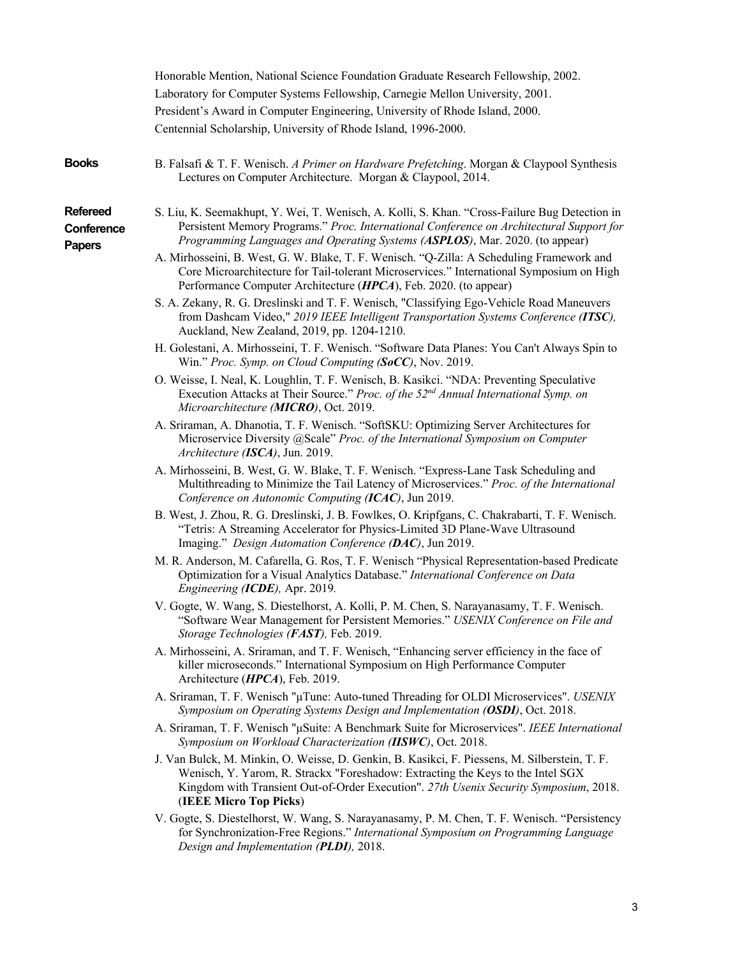|                                         | Honorable Mention, National Science Foundation Graduate Research Fellowship, 2002.<br>Laboratory for Computer Systems Fellowship, Carnegie Mellon University, 2001.                                                                                                                                                                                                                                                                                                |
|-----------------------------------------|--------------------------------------------------------------------------------------------------------------------------------------------------------------------------------------------------------------------------------------------------------------------------------------------------------------------------------------------------------------------------------------------------------------------------------------------------------------------|
|                                         | President's Award in Computer Engineering, University of Rhode Island, 2000.<br>Centennial Scholarship, University of Rhode Island, 1996-2000.                                                                                                                                                                                                                                                                                                                     |
| <b>Books</b>                            | B. Falsafi & T. F. Wenisch. A Primer on Hardware Prefetching. Morgan & Claypool Synthesis<br>Lectures on Computer Architecture. Morgan & Claypool, 2014.                                                                                                                                                                                                                                                                                                           |
| <b>Refereed</b><br>Conference<br>Papers | S. Liu, K. Seemakhupt, Y. Wei, T. Wenisch, A. Kolli, S. Khan. "Cross-Failure Bug Detection in<br>Persistent Memory Programs." Proc. International Conference on Architectural Support for<br>Programming Languages and Operating Systems (ASPLOS), Mar. 2020. (to appear)<br>A. Mirhosseini, B. West, G. W. Blake, T. F. Wenisch. "Q-Zilla: A Scheduling Framework and<br>Core Microarchitecture for Tail-tolerant Microservices." International Symposium on High |
|                                         | Performance Computer Architecture (HPCA), Feb. 2020. (to appear)<br>S. A. Zekany, R. G. Dreslinski and T. F. Wenisch, "Classifying Ego-Vehicle Road Maneuvers<br>from Dashcam Video," 2019 IEEE Intelligent Transportation Systems Conference (ITSC),<br>Auckland, New Zealand, 2019, pp. 1204-1210.                                                                                                                                                               |
|                                         | H. Golestani, A. Mirhosseini, T. F. Wenisch. "Software Data Planes: You Can't Always Spin to<br>Win." Proc. Symp. on Cloud Computing (SoCC), Nov. 2019.                                                                                                                                                                                                                                                                                                            |
|                                         | O. Weisse, I. Neal, K. Loughlin, T. F. Wenisch, B. Kasikci. "NDA: Preventing Speculative<br>Execution Attacks at Their Source." Proc. of the 52 <sup>nd</sup> Annual International Symp. on<br>Microarchitecture (MICRO), Oct. 2019.                                                                                                                                                                                                                               |
|                                         | A. Sriraman, A. Dhanotia, T. F. Wenisch. "SoftSKU: Optimizing Server Architectures for<br>Microservice Diversity @Scale" Proc. of the International Symposium on Computer<br>Architecture (ISCA), Jun. 2019.                                                                                                                                                                                                                                                       |
|                                         | A. Mirhosseini, B. West, G. W. Blake, T. F. Wenisch. "Express-Lane Task Scheduling and<br>Multithreading to Minimize the Tail Latency of Microservices." Proc. of the International<br>Conference on Autonomic Computing (ICAC), Jun 2019.                                                                                                                                                                                                                         |
|                                         | B. West, J. Zhou, R. G. Dreslinski, J. B. Fowlkes, O. Kripfgans, C. Chakrabarti, T. F. Wenisch.<br>"Tetris: A Streaming Accelerator for Physics-Limited 3D Plane-Wave Ultrasound<br>Imaging." Design Automation Conference (DAC), Jun 2019.                                                                                                                                                                                                                        |
|                                         | M. R. Anderson, M. Cafarella, G. Ros, T. F. Wenisch "Physical Representation-based Predicate<br>Optimization for a Visual Analytics Database." International Conference on Data<br>Engineering (ICDE), Apr. 2019.                                                                                                                                                                                                                                                  |
|                                         | V. Gogte, W. Wang, S. Diestelhorst, A. Kolli, P. M. Chen, S. Narayanasamy, T. F. Wenisch.<br>"Software Wear Management for Persistent Memories." USENIX Conference on File and<br>Storage Technologies (FAST), Feb. 2019.                                                                                                                                                                                                                                          |
|                                         | A. Mirhosseini, A. Sriraman, and T. F. Wenisch, "Enhancing server efficiency in the face of<br>killer microseconds." International Symposium on High Performance Computer<br>Architecture (HPCA), Feb. 2019.                                                                                                                                                                                                                                                       |
|                                         | A. Sriraman, T. F. Wenisch "µTune: Auto-tuned Threading for OLDI Microservices". USENIX<br>Symposium on Operating Systems Design and Implementation (OSDI), Oct. 2018.                                                                                                                                                                                                                                                                                             |
|                                         | A. Sriraman, T. F. Wenisch "µSuite: A Benchmark Suite for Microservices". IEEE International<br>Symposium on Workload Characterization (IISWC), Oct. 2018.                                                                                                                                                                                                                                                                                                         |
|                                         | J. Van Bulck, M. Minkin, O. Weisse, D. Genkin, B. Kasikci, F. Piessens, M. Silberstein, T. F.<br>Wenisch, Y. Yarom, R. Strackx "Foreshadow: Extracting the Keys to the Intel SGX<br>Kingdom with Transient Out-of-Order Execution". 27th Usenix Security Symposium, 2018.<br>(IEEE Micro Top Picks)                                                                                                                                                                |
|                                         | V. Gogte, S. Diestelhorst, W. Wang, S. Narayanasamy, P. M. Chen, T. F. Wenisch. "Persistency<br>for Synchronization-Free Regions." International Symposium on Programming Language<br>Design and Implementation (PLDI), 2018.                                                                                                                                                                                                                                      |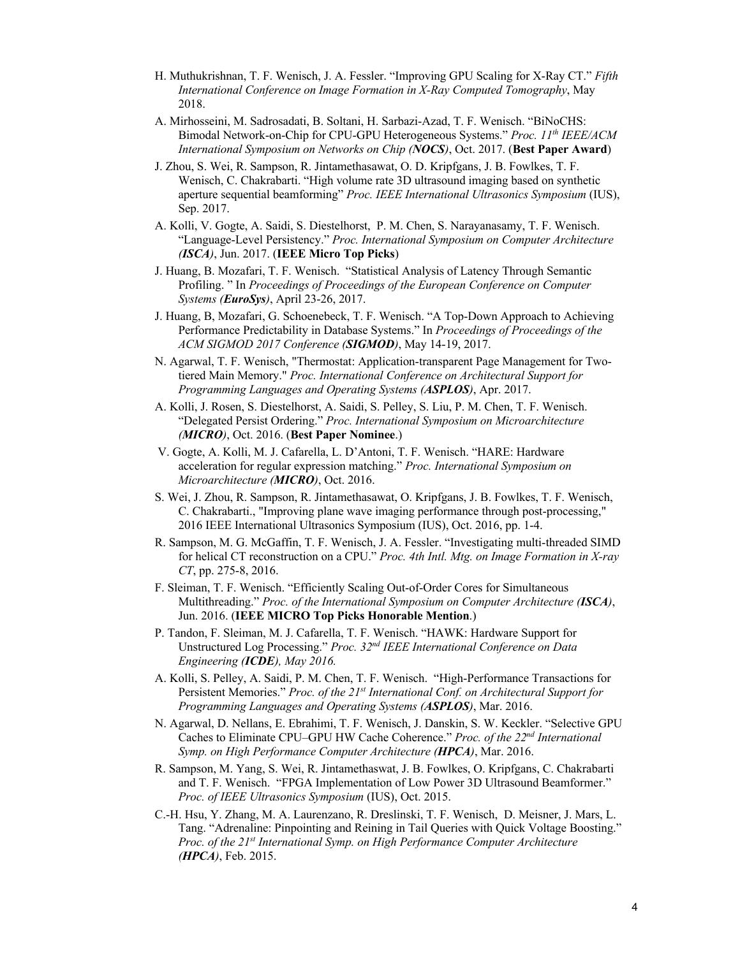- H. Muthukrishnan, T. F. Wenisch, J. A. Fessler. "Improving GPU Scaling for X-Ray CT." *Fifth International Conference on Image Formation in X-Ray Computed Tomography*, May 2018.
- A. Mirhosseini, M. Sadrosadati, B. Soltani, H. Sarbazi-Azad, T. F. Wenisch. "BiNoCHS: Bimodal Network-on-Chip for CPU-GPU Heterogeneous Systems." *Proc. 11th IEEE/ACM International Symposium on Networks on Chip (NOCS)*, Oct. 2017. (**Best Paper Award**)
- J. Zhou, S. Wei, R. Sampson, R. Jintamethasawat, O. D. Kripfgans, J. B. Fowlkes, T. F. Wenisch, C. Chakrabarti. "High volume rate 3D ultrasound imaging based on synthetic aperture sequential beamforming" *Proc. IEEE International Ultrasonics Symposium* (IUS), Sep. 2017.
- A. Kolli, V. Gogte, A. Saidi, S. Diestelhorst, P. M. Chen, S. Narayanasamy, T. F. Wenisch. "Language-Level Persistency." *Proc. International Symposium on Computer Architecture (ISCA)*, Jun. 2017. (**IEEE Micro Top Picks**)
- J. Huang, B. Mozafari, T. F. Wenisch. "Statistical Analysis of Latency Through Semantic Profiling. " In *Proceedings of Proceedings of the European Conference on Computer Systems (EuroSys)*, April 23-26, 2017.
- J. Huang, B, Mozafari, G. Schoenebeck, T. F. Wenisch. "A Top-Down Approach to Achieving Performance Predictability in Database Systems." In *Proceedings of Proceedings of the ACM SIGMOD 2017 Conference (SIGMOD)*, May 14-19, 2017.
- N. Agarwal, T. F. Wenisch, "Thermostat: Application-transparent Page Management for Twotiered Main Memory." *Proc. International Conference on Architectural Support for Programming Languages and Operating Systems (ASPLOS)*, Apr. 2017.
- A. Kolli, J. Rosen, S. Diestelhorst, A. Saidi, S. Pelley, S. Liu, P. M. Chen, T. F. Wenisch. "Delegated Persist Ordering." *Proc. International Symposium on Microarchitecture (MICRO)*, Oct. 2016. (**Best Paper Nominee**.)
- V. Gogte, A. Kolli, M. J. Cafarella, L. D'Antoni, T. F. Wenisch. "HARE: Hardware acceleration for regular expression matching." *Proc. International Symposium on Microarchitecture (MICRO)*, Oct. 2016.
- S. Wei, J. Zhou, R. Sampson, R. Jintamethasawat, O. Kripfgans, J. B. Fowlkes, T. F. Wenisch, C. Chakrabarti., "Improving plane wave imaging performance through post-processing," 2016 IEEE International Ultrasonics Symposium (IUS), Oct. 2016, pp. 1-4.
- R. Sampson, M. G. McGaffin, T. F. Wenisch, J. A. Fessler. "Investigating multi-threaded SIMD for helical CT reconstruction on a CPU." *Proc. 4th Intl. Mtg. on Image Formation in X-ray CT*, pp. 275-8, 2016.
- F. Sleiman, T. F. Wenisch. "Efficiently Scaling Out-of-Order Cores for Simultaneous Multithreading." *Proc. of the International Symposium on Computer Architecture (ISCA)*, Jun. 2016. (**IEEE MICRO Top Picks Honorable Mention**.)
- P. Tandon, F. Sleiman, M. J. Cafarella, T. F. Wenisch. "HAWK: Hardware Support for Unstructured Log Processing." *Proc. 32nd IEEE International Conference on Data Engineering (ICDE), May 2016.*
- A. Kolli, S. Pelley, A. Saidi, P. M. Chen, T. F. Wenisch. "High-Performance Transactions for Persistent Memories." *Proc. of the 21<sup>st</sup> International Conf. on Architectural Support for Programming Languages and Operating Systems (ASPLOS)*, Mar. 2016.
- N. Agarwal, D. Nellans, E. Ebrahimi, T. F. Wenisch, J. Danskin, S. W. Keckler. "Selective GPU Caches to Eliminate CPU–GPU HW Cache Coherence." *Proc. of the 22nd International Symp. on High Performance Computer Architecture (HPCA)*, Mar. 2016.
- R. Sampson, M. Yang, S. Wei, R. Jintamethaswat, J. B. Fowlkes, O. Kripfgans, C. Chakrabarti and T. F. Wenisch. "FPGA Implementation of Low Power 3D Ultrasound Beamformer." *Proc. of IEEE Ultrasonics Symposium* (IUS), Oct. 2015.
- C.-H. Hsu, Y. Zhang, M. A. Laurenzano, R. Dreslinski, T. F. Wenisch, D. Meisner, J. Mars, L. Tang. "Adrenaline: Pinpointing and Reining in Tail Queries with Quick Voltage Boosting." *Proc. of the 21st International Symp. on High Performance Computer Architecture (HPCA)*, Feb. 2015.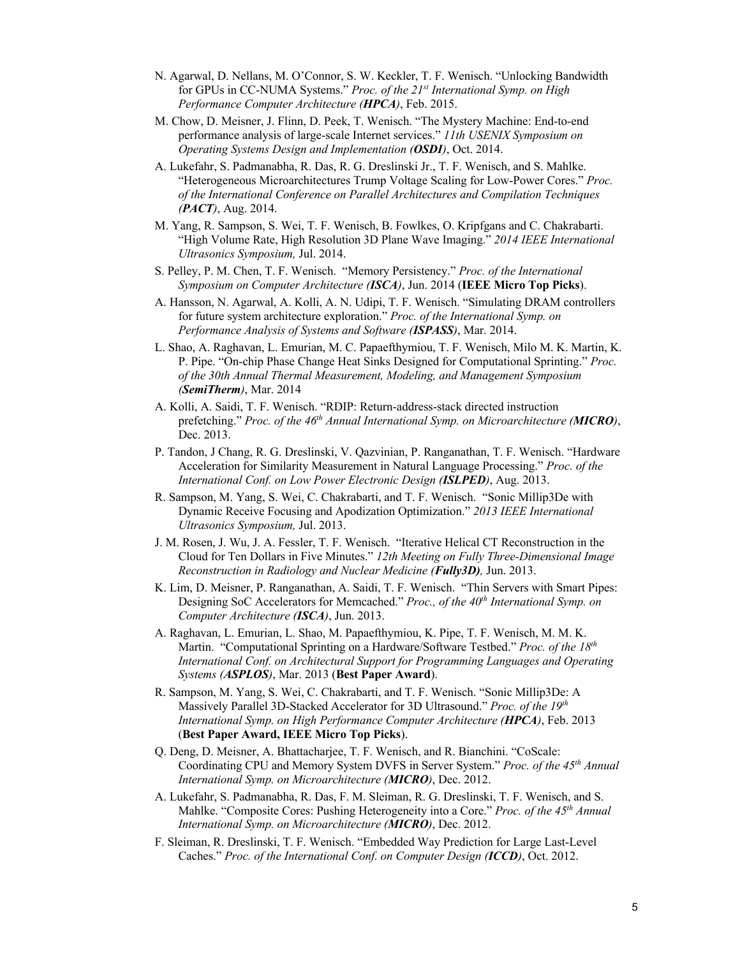- N. Agarwal, D. Nellans, M. O'Connor, S. W. Keckler, T. F. Wenisch. "Unlocking Bandwidth for GPUs in CC-NUMA Systems." *Proc. of the 21st International Symp. on High Performance Computer Architecture (HPCA)*, Feb. 2015.
- M. Chow, D. Meisner, J. Flinn, D. Peek, T. Wenisch. "The Mystery Machine: End-to-end performance analysis of large-scale Internet services." *11th USENIX Symposium on Operating Systems Design and Implementation (OSDI)*, Oct. 2014.
- A. Lukefahr, S. Padmanabha, R. Das, R. G. Dreslinski Jr., T. F. Wenisch, and S. Mahlke. "Heterogeneous Microarchitectures Trump Voltage Scaling for Low-Power Cores." *Proc. of the International Conference on Parallel Architectures and Compilation Techniques (PACT)*, Aug. 2014.
- M. Yang, R. Sampson, S. Wei, T. F. Wenisch, B. Fowlkes, O. Kripfgans and C. Chakrabarti. "High Volume Rate, High Resolution 3D Plane Wave Imaging." *2014 IEEE International Ultrasonics Symposium,* Jul. 2014.
- S. Pelley, P. M. Chen, T. F. Wenisch. "Memory Persistency." *Proc. of the International Symposium on Computer Architecture (ISCA)*, Jun. 2014 (**IEEE Micro Top Picks**).
- A. Hansson, N. Agarwal, A. Kolli, A. N. Udipi, T. F. Wenisch. "Simulating DRAM controllers for future system architecture exploration." *Proc. of the International Symp. on Performance Analysis of Systems and Software (ISPASS)*, Mar. 2014.
- L. Shao, A. Raghavan, L. Emurian, M. C. Papaefthymiou, T. F. Wenisch, Milo M. K. Martin, K. P. Pipe. "On-chip Phase Change Heat Sinks Designed for Computational Sprinting." *Proc. of the 30th Annual Thermal Measurement, Modeling, and Management Symposium (SemiTherm)*, Mar. 2014
- A. Kolli, A. Saidi, T. F. Wenisch. "RDIP: Return-address-stack directed instruction prefetching." *Proc. of the 46<sup>th</sup> Annual International Symp. on Microarchitecture (MICRO*), Dec. 2013.
- P. Tandon, J Chang, R. G. Dreslinski, V. Qazvinian, P. Ranganathan, T. F. Wenisch. "Hardware Acceleration for Similarity Measurement in Natural Language Processing." *Proc. of the International Conf. on Low Power Electronic Design (ISLPED)*, Aug. 2013.
- R. Sampson, M. Yang, S. Wei, C. Chakrabarti, and T. F. Wenisch. "Sonic Millip3De with Dynamic Receive Focusing and Apodization Optimization." *2013 IEEE International Ultrasonics Symposium,* Jul. 2013.
- J. M. Rosen, J. Wu, J. A. Fessler, T. F. Wenisch. "Iterative Helical CT Reconstruction in the Cloud for Ten Dollars in Five Minutes." *12th Meeting on Fully Three-Dimensional Image Reconstruction in Radiology and Nuclear Medicine (Fully3D),* Jun. 2013.
- K. Lim, D. Meisner, P. Ranganathan, A. Saidi, T. F. Wenisch. "Thin Servers with Smart Pipes: Designing SoC Accelerators for Memcached." *Proc., of the 40th International Symp. on Computer Architecture (ISCA)*, Jun. 2013.
- A. Raghavan, L. Emurian, L. Shao, M. Papaefthymiou, K. Pipe, T. F. Wenisch, M. M. K. Martin. "Computational Sprinting on a Hardware/Software Testbed." *Proc. of the 18th International Conf. on Architectural Support for Programming Languages and Operating Systems (ASPLOS)*, Mar. 2013 (**Best Paper Award**).
- R. Sampson, M. Yang, S. Wei, C. Chakrabarti, and T. F. Wenisch. "Sonic Millip3De: A Massively Parallel 3D-Stacked Accelerator for 3D Ultrasound." *Proc. of the 19th International Symp. on High Performance Computer Architecture (HPCA)*, Feb. 2013 (**Best Paper Award, IEEE Micro Top Picks**).
- Q. Deng, D. Meisner, A. Bhattacharjee, T. F. Wenisch, and R. Bianchini. "CoScale: Coordinating CPU and Memory System DVFS in Server System." *Proc. of the 45th Annual International Symp. on Microarchitecture (MICRO)*, Dec. 2012.
- A. Lukefahr, S. Padmanabha, R. Das, F. M. Sleiman, R. G. Dreslinski, T. F. Wenisch, and S. Mahlke. "Composite Cores: Pushing Heterogeneity into a Core." *Proc. of the 45th Annual International Symp. on Microarchitecture (MICRO)*, Dec. 2012.
- F. Sleiman, R. Dreslinski, T. F. Wenisch. "Embedded Way Prediction for Large Last-Level Caches." *Proc. of the International Conf. on Computer Design (ICCD)*, Oct. 2012.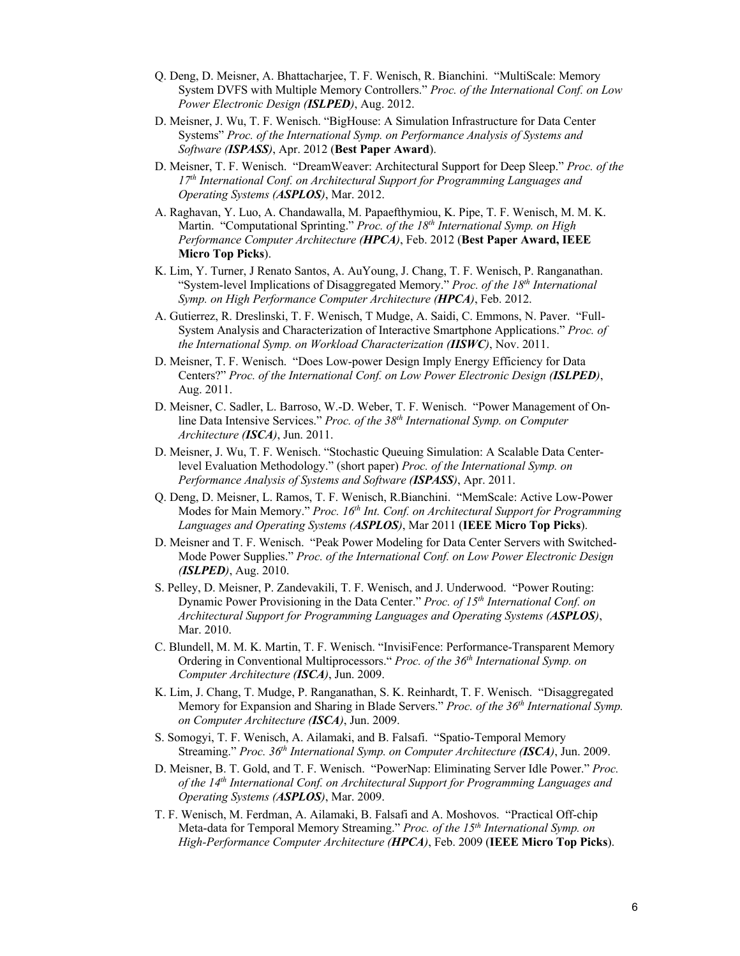- Q. Deng, D. Meisner, A. Bhattacharjee, T. F. Wenisch, R. Bianchini. "MultiScale: Memory System DVFS with Multiple Memory Controllers." *Proc. of the International Conf. on Low Power Electronic Design (ISLPED)*, Aug. 2012.
- D. Meisner, J. Wu, T. F. Wenisch. "BigHouse: A Simulation Infrastructure for Data Center Systems" *Proc. of the International Symp. on Performance Analysis of Systems and Software (ISPASS)*, Apr. 2012 (**Best Paper Award**).
- D. Meisner, T. F. Wenisch. "DreamWeaver: Architectural Support for Deep Sleep." *Proc. of the 17th International Conf. on Architectural Support for Programming Languages and Operating Systems (ASPLOS)*, Mar. 2012.
- A. Raghavan, Y. Luo, A. Chandawalla, M. Papaefthymiou, K. Pipe, T. F. Wenisch, M. M. K. Martin. "Computational Sprinting." *Proc. of the 18th International Symp. on High Performance Computer Architecture (HPCA)*, Feb. 2012 (**Best Paper Award, IEEE Micro Top Picks**).
- K. Lim, Y. Turner, J Renato Santos, A. AuYoung, J. Chang, T. F. Wenisch, P. Ranganathan. "System-level Implications of Disaggregated Memory." *Proc. of the 18th International Symp. on High Performance Computer Architecture (HPCA)*, Feb. 2012.
- A. Gutierrez, R. Dreslinski, T. F. Wenisch, T Mudge, A. Saidi, C. Emmons, N. Paver. "Full-System Analysis and Characterization of Interactive Smartphone Applications." *Proc. of the International Symp. on Workload Characterization (IISWC)*, Nov. 2011.
- D. Meisner, T. F. Wenisch. "Does Low-power Design Imply Energy Efficiency for Data Centers?" *Proc. of the International Conf. on Low Power Electronic Design (ISLPED)*, Aug. 2011.
- D. Meisner, C. Sadler, L. Barroso, W.-D. Weber, T. F. Wenisch. "Power Management of Online Data Intensive Services." *Proc. of the 38th International Symp. on Computer Architecture (ISCA)*, Jun. 2011.
- D. Meisner, J. Wu, T. F. Wenisch. "Stochastic Queuing Simulation: A Scalable Data Centerlevel Evaluation Methodology." (short paper) *Proc. of the International Symp. on Performance Analysis of Systems and Software (ISPASS)*, Apr. 2011.
- Q. Deng, D. Meisner, L. Ramos, T. F. Wenisch, R.Bianchini. "MemScale: Active Low-Power Modes for Main Memory." *Proc. 16th Int. Conf. on Architectural Support for Programming Languages and Operating Systems (ASPLOS)*, Mar 2011 (**IEEE Micro Top Picks**).
- D. Meisner and T. F. Wenisch. "Peak Power Modeling for Data Center Servers with Switched-Mode Power Supplies." *Proc. of the International Conf. on Low Power Electronic Design (ISLPED)*, Aug. 2010.
- S. Pelley, D. Meisner, P. Zandevakili, T. F. Wenisch, and J. Underwood. "Power Routing: Dynamic Power Provisioning in the Data Center." *Proc. of 15th International Conf. on Architectural Support for Programming Languages and Operating Systems (ASPLOS)*, Mar. 2010.
- C. Blundell, M. M. K. Martin, T. F. Wenisch. "InvisiFence: Performance-Transparent Memory Ordering in Conventional Multiprocessors." *Proc. of the 36th International Symp. on Computer Architecture (ISCA)*, Jun. 2009.
- K. Lim, J. Chang, T. Mudge, P. Ranganathan, S. K. Reinhardt, T. F. Wenisch. "Disaggregated Memory for Expansion and Sharing in Blade Servers." *Proc. of the 36th International Symp. on Computer Architecture (ISCA)*, Jun. 2009.
- S. Somogyi, T. F. Wenisch, A. Ailamaki, and B. Falsafi. "Spatio-Temporal Memory Streaming." *Proc. 36th International Symp. on Computer Architecture (ISCA)*, Jun. 2009.
- D. Meisner, B. T. Gold, and T. F. Wenisch. "PowerNap: Eliminating Server Idle Power." *Proc. of the 14th International Conf. on Architectural Support for Programming Languages and Operating Systems (ASPLOS)*, Mar. 2009.
- T. F. Wenisch, M. Ferdman, A. Ailamaki, B. Falsafi and A. Moshovos. "Practical Off-chip Meta-data for Temporal Memory Streaming." *Proc. of the 15th International Symp. on High-Performance Computer Architecture (HPCA)*, Feb. 2009 (**IEEE Micro Top Picks**).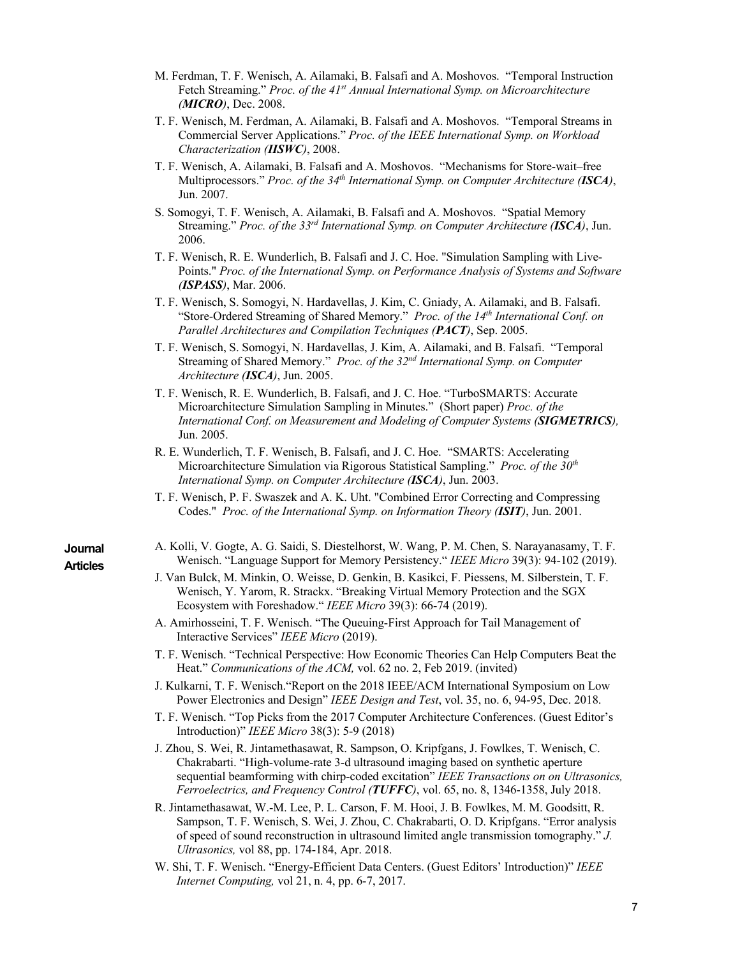- M. Ferdman, T. F. Wenisch, A. Ailamaki, B. Falsafi and A. Moshovos. "Temporal Instruction Fetch Streaming." *Proc. of the 41st Annual International Symp. on Microarchitecture (MICRO)*, Dec. 2008.
- T. F. Wenisch, M. Ferdman, A. Ailamaki, B. Falsafi and A. Moshovos. "Temporal Streams in Commercial Server Applications." *Proc. of the IEEE International Symp. on Workload Characterization (IISWC)*, 2008.
- T. F. Wenisch, A. Ailamaki, B. Falsafi and A. Moshovos. "Mechanisms for Store-wait–free Multiprocessors." *Proc. of the 34th International Symp. on Computer Architecture (ISCA)*, Jun. 2007.
- S. Somogyi, T. F. Wenisch, A. Ailamaki, B. Falsafi and A. Moshovos. "Spatial Memory Streaming." *Proc. of the 33rd International Symp. on Computer Architecture (ISCA)*, Jun. 2006.
- T. F. Wenisch, R. E. Wunderlich, B. Falsafi and J. C. Hoe. "Simulation Sampling with Live-Points." *Proc. of the International Symp. on Performance Analysis of Systems and Software (ISPASS)*, Mar. 2006.
- T. F. Wenisch, S. Somogyi, N. Hardavellas, J. Kim, C. Gniady, A. Ailamaki, and B. Falsafi. "Store-Ordered Streaming of Shared Memory." *Proc. of the 14th International Conf. on Parallel Architectures and Compilation Techniques (PACT)*, Sep. 2005.
- T. F. Wenisch, S. Somogyi, N. Hardavellas, J. Kim, A. Ailamaki, and B. Falsafi. "Temporal Streaming of Shared Memory." *Proc. of the 32nd International Symp. on Computer Architecture (ISCA)*, Jun. 2005.
- T. F. Wenisch, R. E. Wunderlich, B. Falsafi, and J. C. Hoe. "TurboSMARTS: Accurate Microarchitecture Simulation Sampling in Minutes." (Short paper) *Proc. of the International Conf. on Measurement and Modeling of Computer Systems (SIGMETRICS),*  Jun. 2005.
- R. E. Wunderlich, T. F. Wenisch, B. Falsafi, and J. C. Hoe. "SMARTS: Accelerating Microarchitecture Simulation via Rigorous Statistical Sampling." *Proc. of the 30th International Symp. on Computer Architecture (ISCA)*, Jun. 2003.
- T. F. Wenisch, P. F. Swaszek and A. K. Uht. "Combined Error Correcting and Compressing Codes." *Proc. of the International Symp. on Information Theory (ISIT)*, Jun. 2001.
- A. Kolli, V. Gogte, A. G. Saidi, S. Diestelhorst, W. Wang, P. M. Chen, S. Narayanasamy, T. F. Wenisch. "Language Support for Memory Persistency." *IEEE Micro* 39(3): 94-102 (2019).
- J. Van Bulck, M. Minkin, O. Weisse, D. Genkin, B. Kasikci, F. Piessens, M. Silberstein, T. F. Wenisch, Y. Yarom, R. Strackx. "Breaking Virtual Memory Protection and the SGX Ecosystem with Foreshadow." *IEEE Micro* 39(3): 66-74 (2019).
- A. Amirhosseini, T. F. Wenisch. "The Queuing-First Approach for Tail Management of Interactive Services" *IEEE Micro* (2019).
- T. F. Wenisch. "Technical Perspective: How Economic Theories Can Help Computers Beat the Heat." *Communications of the ACM,* vol. 62 no. 2, Feb 2019. (invited)
- J. Kulkarni, T. F. Wenisch."Report on the 2018 IEEE/ACM International Symposium on Low Power Electronics and Design" *IEEE Design and Test*, vol. 35, no. 6, 94-95, Dec. 2018.
- T. F. Wenisch. "Top Picks from the 2017 Computer Architecture Conferences. (Guest Editor's Introduction)" *IEEE Micro* 38(3): 5-9 (2018)
- J. Zhou, S. Wei, R. Jintamethasawat, R. Sampson, O. Kripfgans, J. Fowlkes, T. Wenisch, C. Chakrabarti. "High-volume-rate 3-d ultrasound imaging based on synthetic aperture sequential beamforming with chirp-coded excitation" *IEEE Transactions on on Ultrasonics, Ferroelectrics, and Frequency Control (TUFFC)*, vol. 65, no. 8, 1346-1358, July 2018.
- R. Jintamethasawat, W.-M. Lee, P. L. Carson, F. M. Hooi, J. B. Fowlkes, M. M. Goodsitt, R. Sampson, T. F. Wenisch, S. Wei, J. Zhou, C. Chakrabarti, O. D. Kripfgans. "Error analysis of speed of sound reconstruction in ultrasound limited angle transmission tomography." *J. Ultrasonics,* vol 88, pp. 174-184, Apr. 2018.
- W. Shi, T. F. Wenisch. "Energy-Efficient Data Centers. (Guest Editors' Introduction)" *IEEE Internet Computing,* vol 21, n. 4, pp. 6-7, 2017.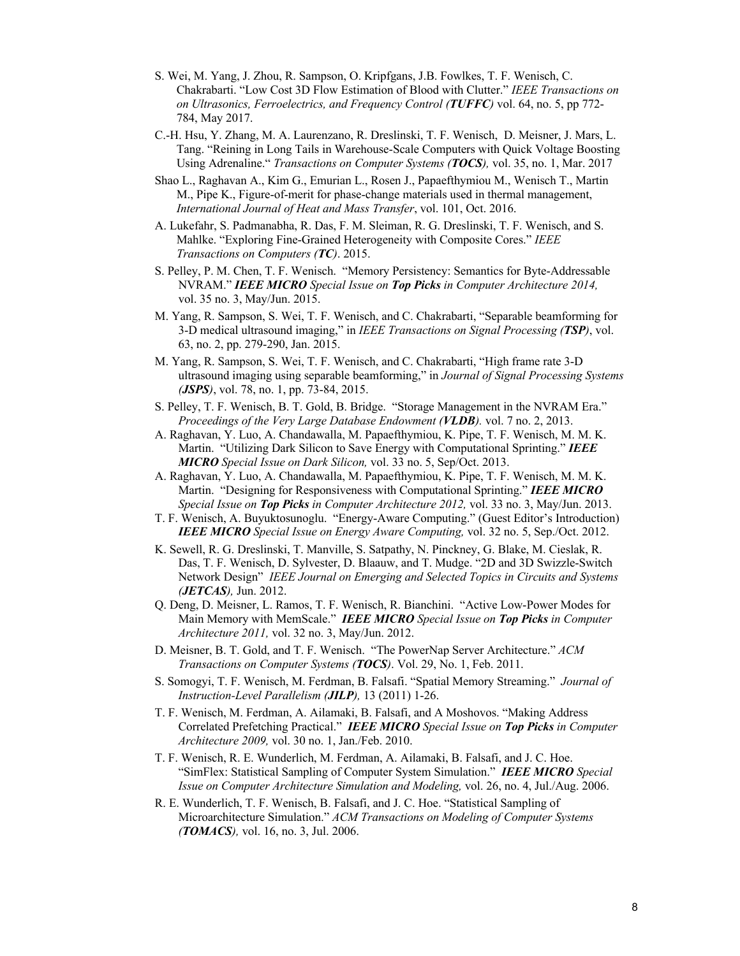- S. Wei, M. Yang, J. Zhou, R. Sampson, O. Kripfgans, J.B. Fowlkes, T. F. Wenisch, C. Chakrabarti. "Low Cost 3D Flow Estimation of Blood with Clutter." *IEEE Transactions on on Ultrasonics, Ferroelectrics, and Frequency Control (TUFFC)* vol. 64, no. 5, pp 772- 784, May 2017.
- C.-H. Hsu, Y. Zhang, M. A. Laurenzano, R. Dreslinski, T. F. Wenisch, D. Meisner, J. Mars, L. Tang. "Reining in Long Tails in Warehouse-Scale Computers with Quick Voltage Boosting Using Adrenaline." *Transactions on Computer Systems (TOCS),* vol. 35, no. 1, Mar. 2017
- Shao L., Raghavan A., Kim G., Emurian L., Rosen J., Papaefthymiou M., Wenisch T., Martin M., Pipe K., Figure-of-merit for phase-change materials used in thermal management, *International Journal of Heat and Mass Transfer*, vol. 101, Oct. 2016.
- A. Lukefahr, S. Padmanabha, R. Das, F. M. Sleiman, R. G. Dreslinski, T. F. Wenisch, and S. Mahlke. "Exploring Fine-Grained Heterogeneity with Composite Cores." *IEEE Transactions on Computers (TC)*. 2015.
- S. Pelley, P. M. Chen, T. F. Wenisch. "Memory Persistency: Semantics for Byte-Addressable NVRAM." *IEEE MICRO Special Issue on Top Picks in Computer Architecture 2014,*  vol. 35 no. 3, May/Jun. 2015.
- M. Yang, R. Sampson, S. Wei, T. F. Wenisch, and C. Chakrabarti, "Separable beamforming for 3-D medical ultrasound imaging," in *IEEE Transactions on Signal Processing (TSP)*, vol. 63, no. 2, pp. 279-290, Jan. 2015.
- M. Yang, R. Sampson, S. Wei, T. F. Wenisch, and C. Chakrabarti, "High frame rate 3-D ultrasound imaging using separable beamforming," in *Journal of Signal Processing Systems (JSPS)*, vol. 78, no. 1, pp. 73-84, 2015.
- S. Pelley, T. F. Wenisch, B. T. Gold, B. Bridge. "Storage Management in the NVRAM Era." *Proceedings of the Very Large Database Endowment (VLDB).* vol. 7 no. 2, 2013.
- A. Raghavan, Y. Luo, A. Chandawalla, M. Papaefthymiou, K. Pipe, T. F. Wenisch, M. M. K. Martin. "Utilizing Dark Silicon to Save Energy with Computational Sprinting." *IEEE MICRO Special Issue on Dark Silicon,* vol. 33 no. 5, Sep/Oct. 2013.
- A. Raghavan, Y. Luo, A. Chandawalla, M. Papaefthymiou, K. Pipe, T. F. Wenisch, M. M. K. Martin. "Designing for Responsiveness with Computational Sprinting." *IEEE MICRO Special Issue on Top Picks in Computer Architecture 2012,* vol. 33 no. 3, May/Jun. 2013.
- T. F. Wenisch, A. Buyuktosunoglu. "Energy-Aware Computing." (Guest Editor's Introduction) *IEEE MICRO Special Issue on Energy Aware Computing,* vol. 32 no. 5, Sep./Oct. 2012.
- K. Sewell, R. G. Dreslinski, T. Manville, S. Satpathy, N. Pinckney, G. Blake, M. Cieslak, R. Das, T. F. Wenisch, D. Sylvester, D. Blaauw, and T. Mudge. "2D and 3D Swizzle-Switch Network Design" *IEEE Journal on Emerging and Selected Topics in Circuits and Systems (JETCAS),* Jun. 2012.
- Q. Deng, D. Meisner, L. Ramos, T. F. Wenisch, R. Bianchini. "Active Low-Power Modes for Main Memory with MemScale." *IEEE MICRO Special Issue on Top Picks in Computer Architecture 2011,* vol. 32 no. 3, May/Jun. 2012.
- D. Meisner, B. T. Gold, and T. F. Wenisch. "The PowerNap Server Architecture." *ACM Transactions on Computer Systems (TOCS)*. Vol. 29, No. 1, Feb. 2011.
- S. Somogyi, T. F. Wenisch, M. Ferdman, B. Falsafi. "Spatial Memory Streaming." *Journal of Instruction-Level Parallelism (JILP),* 13 (2011) 1-26.
- T. F. Wenisch, M. Ferdman, A. Ailamaki, B. Falsafi, and A Moshovos. "Making Address Correlated Prefetching Practical." *IEEE MICRO Special Issue on Top Picks in Computer Architecture 2009,* vol. 30 no. 1, Jan./Feb. 2010.
- T. F. Wenisch, R. E. Wunderlich, M. Ferdman, A. Ailamaki, B. Falsafi, and J. C. Hoe. "SimFlex: Statistical Sampling of Computer System Simulation." *IEEE MICRO Special Issue on Computer Architecture Simulation and Modeling,* vol. 26, no. 4, Jul./Aug. 2006.
- R. E. Wunderlich, T. F. Wenisch, B. Falsafi, and J. C. Hoe. "Statistical Sampling of Microarchitecture Simulation." *ACM Transactions on Modeling of Computer Systems (TOMACS),* vol. 16, no. 3, Jul. 2006.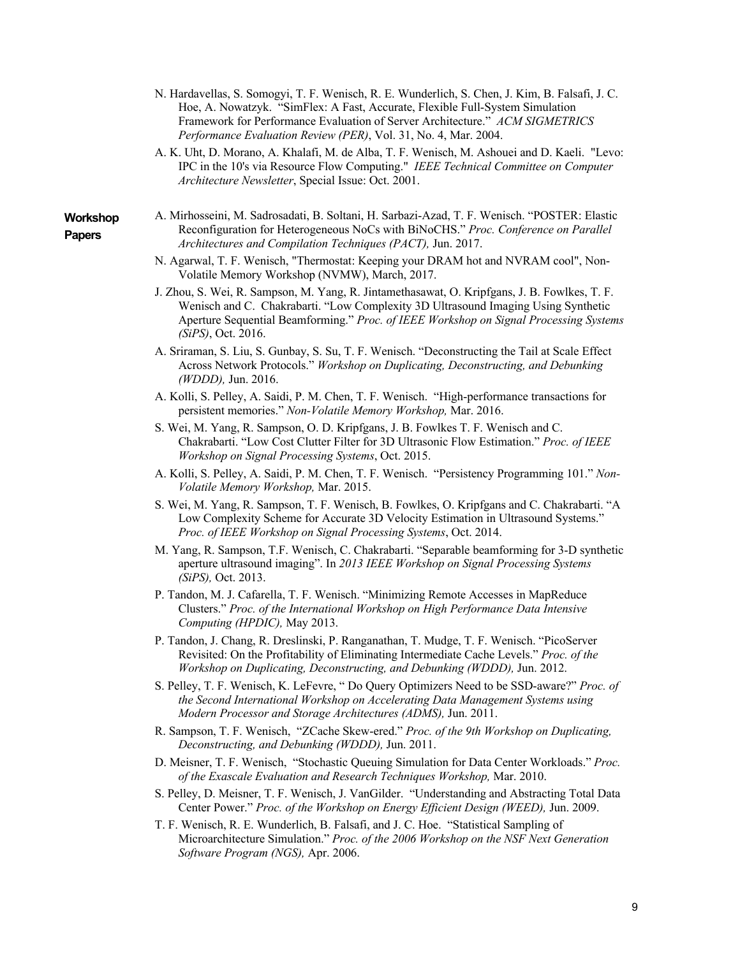- N. Hardavellas, S. Somogyi, T. F. Wenisch, R. E. Wunderlich, S. Chen, J. Kim, B. Falsafi, J. C. Hoe, A. Nowatzyk. "SimFlex: A Fast, Accurate, Flexible Full-System Simulation Framework for Performance Evaluation of Server Architecture." *ACM SIGMETRICS Performance Evaluation Review (PER)*, Vol. 31, No. 4, Mar. 2004.
- A. K. Uht, D. Morano, A. Khalafi, M. de Alba, T. F. Wenisch, M. Ashouei and D. Kaeli. "Levo: IPC in the 10's via Resource Flow Computing." *IEEE Technical Committee on Computer Architecture Newsletter*, Special Issue: Oct. 2001.
- **Workshop Papers**
- A. Mirhosseini, M. Sadrosadati, B. Soltani, H. Sarbazi-Azad, T. F. Wenisch. "POSTER: Elastic Reconfiguration for Heterogeneous NoCs with BiNoCHS." *Proc. Conference on Parallel Architectures and Compilation Techniques (PACT),* Jun. 2017.
- N. Agarwal, T. F. Wenisch, "Thermostat: Keeping your DRAM hot and NVRAM cool", Non-Volatile Memory Workshop (NVMW), March, 2017.
- J. Zhou, S. Wei, R. Sampson, M. Yang, R. Jintamethasawat, O. Kripfgans, J. B. Fowlkes, T. F. Wenisch and C. Chakrabarti. "Low Complexity 3D Ultrasound Imaging Using Synthetic Aperture Sequential Beamforming." *Proc. of IEEE Workshop on Signal Processing Systems (SiPS)*, Oct. 2016.
- A. Sriraman, S. Liu, S. Gunbay, S. Su, T. F. Wenisch. "Deconstructing the Tail at Scale Effect Across Network Protocols." *Workshop on Duplicating, Deconstructing, and Debunking (WDDD),* Jun. 2016.
- A. Kolli, S. Pelley, A. Saidi, P. M. Chen, T. F. Wenisch. "High-performance transactions for persistent memories." *Non-Volatile Memory Workshop,* Mar. 2016.
- S. Wei, M. Yang, R. Sampson, O. D. Kripfgans, J. B. Fowlkes T. F. Wenisch and C. Chakrabarti. "Low Cost Clutter Filter for 3D Ultrasonic Flow Estimation." *Proc. of IEEE Workshop on Signal Processing Systems*, Oct. 2015.
- A. Kolli, S. Pelley, A. Saidi, P. M. Chen, T. F. Wenisch. "Persistency Programming 101." *Non-Volatile Memory Workshop,* Mar. 2015.
- S. Wei, M. Yang, R. Sampson, T. F. Wenisch, B. Fowlkes, O. Kripfgans and C. Chakrabarti. "A Low Complexity Scheme for Accurate 3D Velocity Estimation in Ultrasound Systems." *Proc. of IEEE Workshop on Signal Processing Systems*, Oct. 2014.
- M. Yang, R. Sampson, T.F. Wenisch, C. Chakrabarti. "Separable beamforming for 3-D synthetic aperture ultrasound imaging". In *2013 IEEE Workshop on Signal Processing Systems (SiPS),* Oct. 2013.
- P. Tandon, M. J. Cafarella, T. F. Wenisch. "Minimizing Remote Accesses in MapReduce Clusters." *Proc. of the International Workshop on High Performance Data Intensive Computing (HPDIC),* May 2013.
- P. Tandon, J. Chang, R. Dreslinski, P. Ranganathan, T. Mudge, T. F. Wenisch. "PicoServer Revisited: On the Profitability of Eliminating Intermediate Cache Levels." *Proc. of the Workshop on Duplicating, Deconstructing, and Debunking (WDDD),* Jun. 2012.
- S. Pelley, T. F. Wenisch, K. LeFevre, " Do Query Optimizers Need to be SSD-aware?" *Proc. of the Second International Workshop on Accelerating Data Management Systems using Modern Processor and Storage Architectures (ADMS),* Jun. 2011.
- R. Sampson, T. F. Wenisch, "ZCache Skew-ered." *Proc. of the 9th Workshop on Duplicating, Deconstructing, and Debunking (WDDD),* Jun. 2011.
- D. Meisner, T. F. Wenisch, "Stochastic Queuing Simulation for Data Center Workloads." *Proc. of the Exascale Evaluation and Research Techniques Workshop,* Mar. 2010.
- S. Pelley, D. Meisner, T. F. Wenisch, J. VanGilder. "Understanding and Abstracting Total Data Center Power." *Proc. of the Workshop on Energy Efficient Design (WEED),* Jun. 2009.
- T. F. Wenisch, R. E. Wunderlich, B. Falsafi, and J. C. Hoe. "Statistical Sampling of Microarchitecture Simulation." *Proc. of the 2006 Workshop on the NSF Next Generation Software Program (NGS),* Apr. 2006.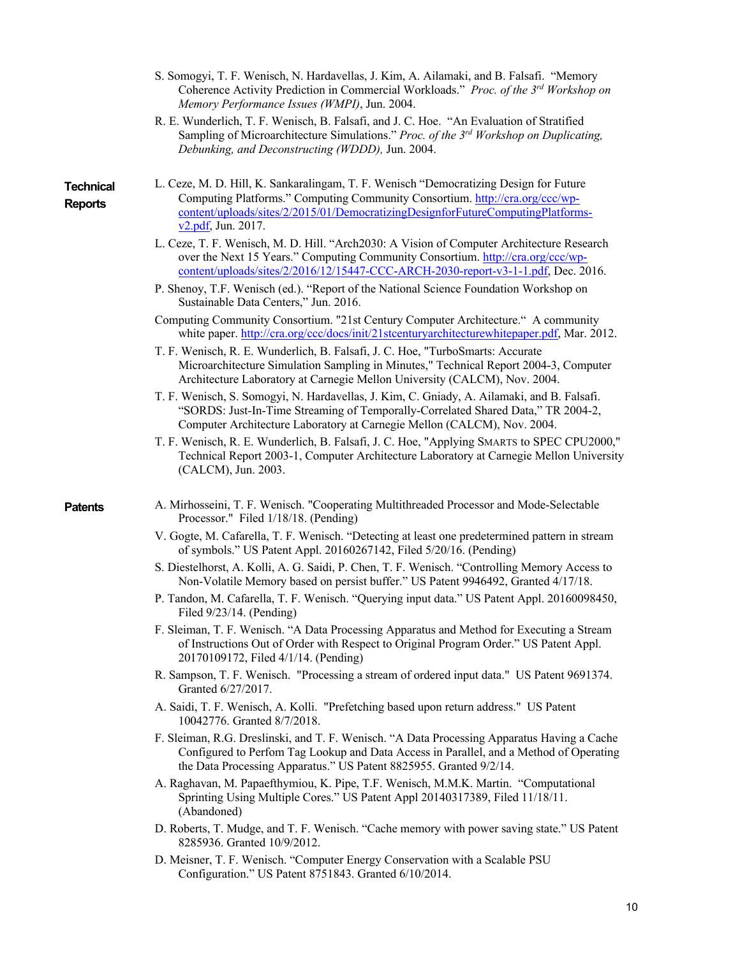- S. Somogyi, T. F. Wenisch, N. Hardavellas, J. Kim, A. Ailamaki, and B. Falsafi. "Memory Coherence Activity Prediction in Commercial Workloads." *Proc. of the 3rd Workshop on Memory Performance Issues (WMPI)*, Jun. 2004.
- R. E. Wunderlich, T. F. Wenisch, B. Falsafi, and J. C. Hoe. "An Evaluation of Stratified Sampling of Microarchitecture Simulations." *Proc. of the 3rd Workshop on Duplicating, Debunking, and Deconstructing (WDDD),* Jun. 2004.

**Technical Reports**

- L. Ceze, M. D. Hill, K. Sankaralingam, T. F. Wenisch "Democratizing Design for Future Computing Platforms." Computing Community Consortium. http://cra.org/ccc/wpcontent/uploads/sites/2/2015/01/DemocratizingDesignforFutureComputingPlatformsv2.pdf, Jun. 2017.
	- L. Ceze, T. F. Wenisch, M. D. Hill. "Arch2030: A Vision of Computer Architecture Research over the Next 15 Years." Computing Community Consortium. http://cra.org/ccc/wpcontent/uploads/sites/2/2016/12/15447-CCC-ARCH-2030-report-v3-1-1.pdf, Dec. 2016.
	- P. Shenoy, T.F. Wenisch (ed.). "Report of the National Science Foundation Workshop on Sustainable Data Centers," Jun. 2016.
	- Computing Community Consortium. "21st Century Computer Architecture." A community white paper. http://cra.org/ccc/docs/init/21stcenturyarchitecturewhitepaper.pdf, Mar. 2012.
	- T. F. Wenisch, R. E. Wunderlich, B. Falsafi, J. C. Hoe, "TurboSmarts: Accurate Microarchitecture Simulation Sampling in Minutes," Technical Report 2004-3, Computer Architecture Laboratory at Carnegie Mellon University (CALCM), Nov. 2004.
	- T. F. Wenisch, S. Somogyi, N. Hardavellas, J. Kim, C. Gniady, A. Ailamaki, and B. Falsafi. "SORDS: Just-In-Time Streaming of Temporally-Correlated Shared Data," TR 2004-2, Computer Architecture Laboratory at Carnegie Mellon (CALCM), Nov. 2004.
	- T. F. Wenisch, R. E. Wunderlich, B. Falsafi, J. C. Hoe, "Applying SMARTS to SPEC CPU2000," Technical Report 2003-1, Computer Architecture Laboratory at Carnegie Mellon University (CALCM), Jun. 2003.
- **Patents** A. Mirhosseini, T. F. Wenisch. "Cooperating Multithreaded Processor and Mode-Selectable Processor." Filed 1/18/18. (Pending)
	- V. Gogte, M. Cafarella, T. F. Wenisch. "Detecting at least one predetermined pattern in stream of symbols." US Patent Appl. 20160267142, Filed 5/20/16. (Pending)
	- S. Diestelhorst, A. Kolli, A. G. Saidi, P. Chen, T. F. Wenisch. "Controlling Memory Access to Non-Volatile Memory based on persist buffer." US Patent 9946492, Granted 4/17/18.
	- P. Tandon, M. Cafarella, T. F. Wenisch. "Querying input data." US Patent Appl. 20160098450, Filed 9/23/14. (Pending)
	- F. Sleiman, T. F. Wenisch. "A Data Processing Apparatus and Method for Executing a Stream of Instructions Out of Order with Respect to Original Program Order." US Patent Appl. 20170109172, Filed 4/1/14. (Pending)
	- R. Sampson, T. F. Wenisch. "Processing a stream of ordered input data." US Patent 9691374. Granted 6/27/2017.
	- A. Saidi, T. F. Wenisch, A. Kolli. "Prefetching based upon return address." US Patent 10042776. Granted 8/7/2018.
	- F. Sleiman, R.G. Dreslinski, and T. F. Wenisch. "A Data Processing Apparatus Having a Cache Configured to Perfom Tag Lookup and Data Access in Parallel, and a Method of Operating the Data Processing Apparatus." US Patent 8825955. Granted 9/2/14.
	- A. Raghavan, M. Papaefthymiou, K. Pipe, T.F. Wenisch, M.M.K. Martin. "Computational Sprinting Using Multiple Cores." US Patent Appl 20140317389, Filed 11/18/11. (Abandoned)
	- D. Roberts, T. Mudge, and T. F. Wenisch. "Cache memory with power saving state." US Patent 8285936. Granted 10/9/2012.
	- D. Meisner, T. F. Wenisch. "Computer Energy Conservation with a Scalable PSU Configuration." US Patent 8751843. Granted 6/10/2014.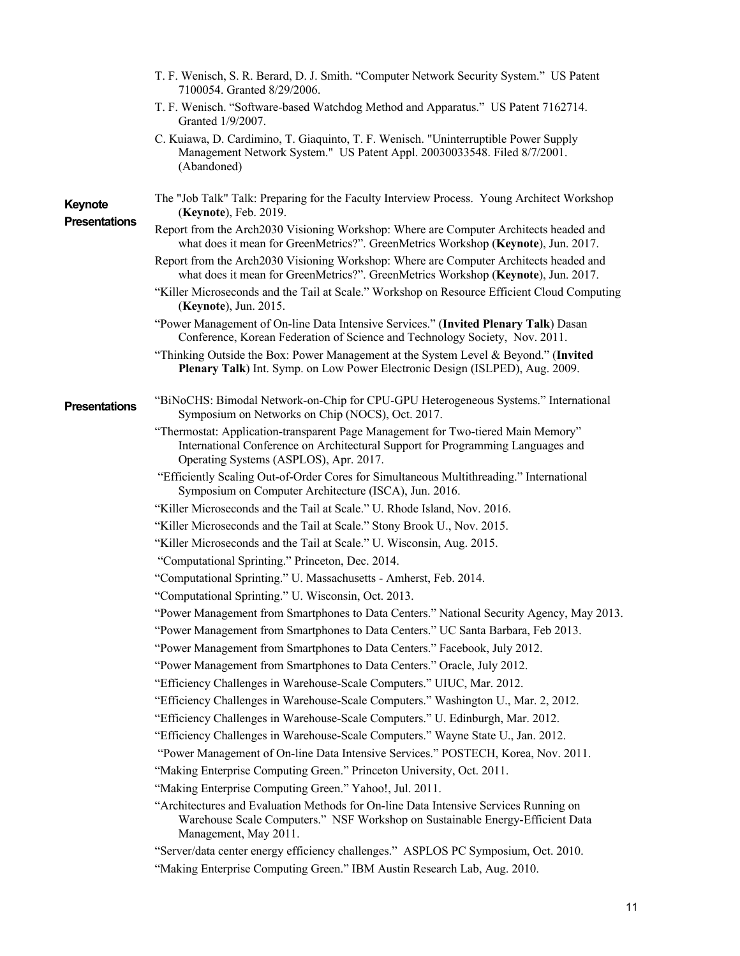|                                 | T. F. Wenisch, S. R. Berard, D. J. Smith. "Computer Network Security System." US Patent<br>7100054. Granted 8/29/2006.                                                                                        |  |  |
|---------------------------------|---------------------------------------------------------------------------------------------------------------------------------------------------------------------------------------------------------------|--|--|
|                                 | T. F. Wenisch. "Software-based Watchdog Method and Apparatus." US Patent 7162714.<br>Granted 1/9/2007.                                                                                                        |  |  |
|                                 | C. Kuiawa, D. Cardimino, T. Giaquinto, T. F. Wenisch. "Uninterruptible Power Supply<br>Management Network System." US Patent Appl. 20030033548. Filed 8/7/2001.<br>(Abandoned)                                |  |  |
| Keynote<br><b>Presentations</b> | The "Job Talk" Talk: Preparing for the Faculty Interview Process. Young Architect Workshop<br>(Keynote), Feb. 2019.                                                                                           |  |  |
|                                 | Report from the Arch2030 Visioning Workshop: Where are Computer Architects headed and<br>what does it mean for GreenMetrics?". GreenMetrics Workshop (Keynote), Jun. 2017.                                    |  |  |
|                                 | Report from the Arch2030 Visioning Workshop: Where are Computer Architects headed and<br>what does it mean for GreenMetrics?". GreenMetrics Workshop (Keynote), Jun. 2017.                                    |  |  |
|                                 | "Killer Microseconds and the Tail at Scale." Workshop on Resource Efficient Cloud Computing<br>(Keynote), Jun. 2015.                                                                                          |  |  |
|                                 | "Power Management of On-line Data Intensive Services." (Invited Plenary Talk) Dasan<br>Conference, Korean Federation of Science and Technology Society, Nov. 2011.                                            |  |  |
|                                 | "Thinking Outside the Box: Power Management at the System Level & Beyond." (Invited<br>Plenary Talk) Int. Symp. on Low Power Electronic Design (ISLPED), Aug. 2009.                                           |  |  |
| <b>Presentations</b>            | "BiNoCHS: Bimodal Network-on-Chip for CPU-GPU Heterogeneous Systems." International<br>Symposium on Networks on Chip (NOCS), Oct. 2017.                                                                       |  |  |
|                                 |                                                                                                                                                                                                               |  |  |
|                                 | "Thermostat: Application-transparent Page Management for Two-tiered Main Memory"<br>International Conference on Architectural Support for Programming Languages and<br>Operating Systems (ASPLOS), Apr. 2017. |  |  |
|                                 | "Efficiently Scaling Out-of-Order Cores for Simultaneous Multithreading." International<br>Symposium on Computer Architecture (ISCA), Jun. 2016.                                                              |  |  |
|                                 | "Killer Microseconds and the Tail at Scale." U. Rhode Island, Nov. 2016.                                                                                                                                      |  |  |
|                                 | "Killer Microseconds and the Tail at Scale." Stony Brook U., Nov. 2015.                                                                                                                                       |  |  |
|                                 | "Killer Microseconds and the Tail at Scale." U. Wisconsin, Aug. 2015.                                                                                                                                         |  |  |
|                                 | "Computational Sprinting." Princeton, Dec. 2014.                                                                                                                                                              |  |  |
|                                 | "Computational Sprinting." U. Massachusetts - Amherst, Feb. 2014.                                                                                                                                             |  |  |
|                                 | "Computational Sprinting." U. Wisconsin, Oct. 2013.                                                                                                                                                           |  |  |
|                                 | "Power Management from Smartphones to Data Centers." National Security Agency, May 2013.                                                                                                                      |  |  |
|                                 | "Power Management from Smartphones to Data Centers." UC Santa Barbara, Feb 2013.                                                                                                                              |  |  |
|                                 | "Power Management from Smartphones to Data Centers." Facebook, July 2012.                                                                                                                                     |  |  |
|                                 | "Power Management from Smartphones to Data Centers." Oracle, July 2012.                                                                                                                                       |  |  |
|                                 | "Efficiency Challenges in Warehouse-Scale Computers." UIUC, Mar. 2012.                                                                                                                                        |  |  |
|                                 | "Efficiency Challenges in Warehouse-Scale Computers." Washington U., Mar. 2, 2012.                                                                                                                            |  |  |
|                                 | "Efficiency Challenges in Warehouse-Scale Computers." U. Edinburgh, Mar. 2012.                                                                                                                                |  |  |
|                                 | "Efficiency Challenges in Warehouse-Scale Computers." Wayne State U., Jan. 2012.                                                                                                                              |  |  |
|                                 | "Power Management of On-line Data Intensive Services." POSTECH, Korea, Nov. 2011.                                                                                                                             |  |  |
|                                 | "Making Enterprise Computing Green." Princeton University, Oct. 2011.                                                                                                                                         |  |  |
|                                 | "Making Enterprise Computing Green." Yahoo!, Jul. 2011.                                                                                                                                                       |  |  |
|                                 | "Architectures and Evaluation Methods for On-line Data Intensive Services Running on<br>Warehouse Scale Computers." NSF Workshop on Sustainable Energy-Efficient Data<br>Management, May 2011.                |  |  |
|                                 | "Server/data center energy efficiency challenges." ASPLOS PC Symposium, Oct. 2010.                                                                                                                            |  |  |
|                                 | "Making Enterprise Computing Green." IBM Austin Research Lab, Aug. 2010.                                                                                                                                      |  |  |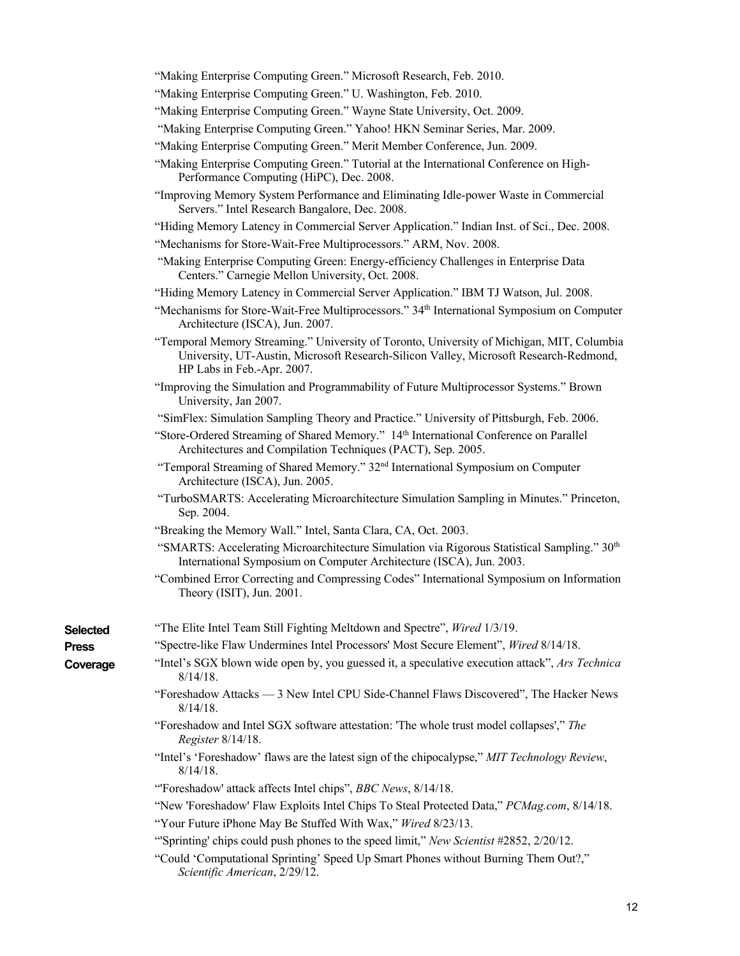| "Making Enterprise Computing Green." Microsoft Research, Feb. 2010. |  |  |  |
|---------------------------------------------------------------------|--|--|--|
|---------------------------------------------------------------------|--|--|--|

- "Making Enterprise Computing Green." U. Washington, Feb. 2010.
- "Making Enterprise Computing Green." Wayne State University, Oct. 2009.
- "Making Enterprise Computing Green." Yahoo! HKN Seminar Series, Mar. 2009.
- "Making Enterprise Computing Green." Merit Member Conference, Jun. 2009.
- "Making Enterprise Computing Green." Tutorial at the International Conference on High-Performance Computing (HiPC), Dec. 2008.
- "Improving Memory System Performance and Eliminating Idle-power Waste in Commercial Servers." Intel Research Bangalore, Dec. 2008.
- "Hiding Memory Latency in Commercial Server Application." Indian Inst. of Sci., Dec. 2008.
- "Mechanisms for Store-Wait-Free Multiprocessors." ARM, Nov. 2008.
- "Making Enterprise Computing Green: Energy-efficiency Challenges in Enterprise Data Centers." Carnegie Mellon University, Oct. 2008.
- "Hiding Memory Latency in Commercial Server Application." IBM TJ Watson, Jul. 2008.
- "Mechanisms for Store-Wait-Free Multiprocessors." 34th International Symposium on Computer Architecture (ISCA), Jun. 2007.
- "Temporal Memory Streaming." University of Toronto, University of Michigan, MIT, Columbia University, UT-Austin, Microsoft Research-Silicon Valley, Microsoft Research-Redmond, HP Labs in Feb.-Apr. 2007.
- "Improving the Simulation and Programmability of Future Multiprocessor Systems." Brown University, Jan 2007.
- "SimFlex: Simulation Sampling Theory and Practice." University of Pittsburgh, Feb. 2006.
- "Store-Ordered Streaming of Shared Memory." 14<sup>th</sup> International Conference on Parallel Architectures and Compilation Techniques (PACT), Sep. 2005.
- "Temporal Streaming of Shared Memory." 32<sup>nd</sup> International Symposium on Computer Architecture (ISCA), Jun. 2005.
- "TurboSMARTS: Accelerating Microarchitecture Simulation Sampling in Minutes." Princeton, Sep. 2004.
- "Breaking the Memory Wall." Intel, Santa Clara, CA, Oct. 2003.
- "SMARTS: Accelerating Microarchitecture Simulation via Rigorous Statistical Sampling."  $30<sup>th</sup>$ International Symposium on Computer Architecture (ISCA), Jun. 2003.
- "Combined Error Correcting and Compressing Codes" International Symposium on Information Theory (ISIT), Jun. 2001.

| <b>Selected</b> | "The Elite Intel Team Still Fighting Meltdown and Spectre", <i>Wired</i> 1/3/19.                                |  |  |
|-----------------|-----------------------------------------------------------------------------------------------------------------|--|--|
| <b>Press</b>    | "Spectre-like Flaw Undermines Intel Processors' Most Secure Element", Wired 8/14/18.                            |  |  |
| Coverage        | "Intel's SGX blown wide open by, you guessed it, a speculative execution attack", Ars Technica<br>$8/14/18$ .   |  |  |
|                 | "Foreshadow Attacks — 3 New Intel CPU Side-Channel Flaws Discovered", The Hacker News<br>$8/14/18$ .            |  |  |
|                 | "Foreshadow and Intel SGX software attestation: 'The whole trust model collapses'," The<br>Register $8/14/18$ . |  |  |
|                 | "Intel's 'Foreshadow' flaws are the latest sign of the chipocalypse," MIT Technology Review,<br>$8/14/18$ .     |  |  |
|                 | "Foreshadow' attack affects Intel chips", BBC News, 8/14/18.                                                    |  |  |
|                 | "New 'Foreshadow' Flaw Exploits Intel Chips To Steal Protected Data," PCMag.com, 8/14/18.                       |  |  |

- "Your Future iPhone May Be Stuffed With Wax," *Wired* 8/23/13.
- "'Sprinting' chips could push phones to the speed limit," *New Scientist* #2852, 2/20/12.
- "Could 'Computational Sprinting' Speed Up Smart Phones without Burning Them Out?," *Scientific American*, 2/29/12.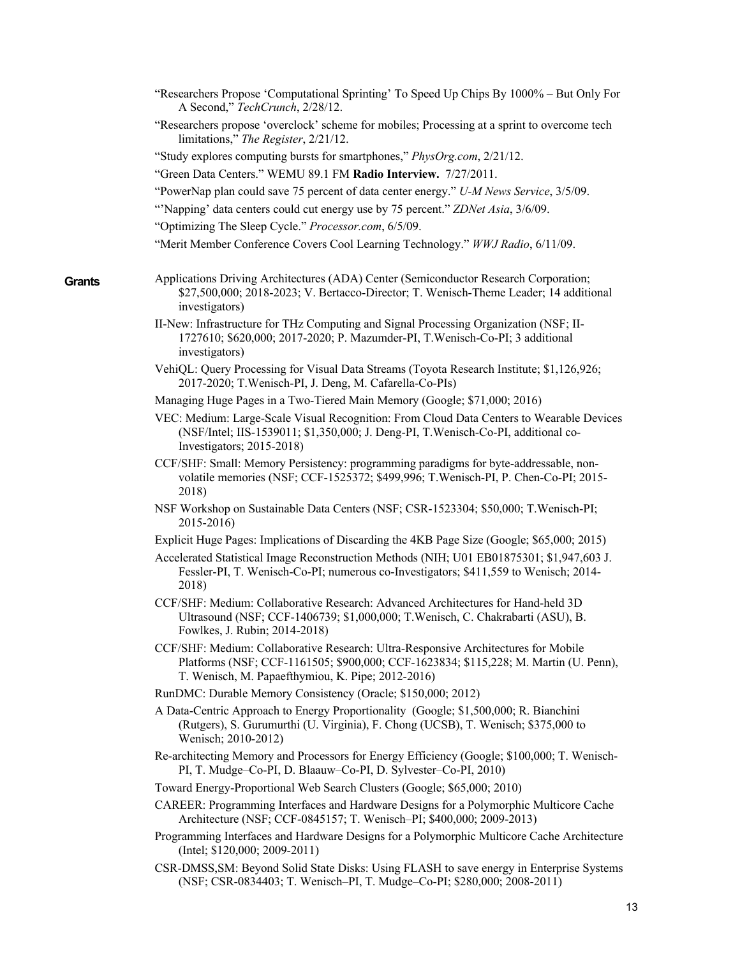|        | "Researchers Propose 'Computational Sprinting' To Speed Up Chips By 1000% – But Only For<br>A Second," TechCrunch, 2/28/12.                                                                                                     |
|--------|---------------------------------------------------------------------------------------------------------------------------------------------------------------------------------------------------------------------------------|
|        | "Researchers propose 'overclock' scheme for mobiles; Processing at a sprint to overcome tech<br>limitations," The Register, 2/21/12.                                                                                            |
|        | "Study explores computing bursts for smartphones," PhysOrg.com, 2/21/12.                                                                                                                                                        |
|        | "Green Data Centers." WEMU 89.1 FM Radio Interview. 7/27/2011.                                                                                                                                                                  |
|        | "PowerNap plan could save 75 percent of data center energy." U-M News Service, 3/5/09.                                                                                                                                          |
|        | "Napping' data centers could cut energy use by 75 percent." ZDNet Asia, 3/6/09.                                                                                                                                                 |
|        | "Optimizing The Sleep Cycle." Processor.com, 6/5/09.                                                                                                                                                                            |
|        | "Merit Member Conference Covers Cool Learning Technology." WWJ Radio, 6/11/09.                                                                                                                                                  |
| Grants | Applications Driving Architectures (ADA) Center (Semiconductor Research Corporation;<br>\$27,500,000; 2018-2023; V. Bertacco-Director; T. Wenisch-Theme Leader; 14 additional<br>investigators)                                 |
|        | II-New: Infrastructure for THz Computing and Signal Processing Organization (NSF; II-<br>1727610; \$620,000; 2017-2020; P. Mazumder-PI, T. Wenisch-Co-PI; 3 additional<br>investigators)                                        |
|        | VehiQL: Query Processing for Visual Data Streams (Toyota Research Institute; \$1,126,926;<br>2017-2020; T.Wenisch-PI, J. Deng, M. Cafarella-Co-PIs)                                                                             |
|        | Managing Huge Pages in a Two-Tiered Main Memory (Google; \$71,000; 2016)                                                                                                                                                        |
|        | VEC: Medium: Large-Scale Visual Recognition: From Cloud Data Centers to Wearable Devices<br>(NSF/Intel; IIS-1539011; \$1,350,000; J. Deng-PI, T. Wenisch-Co-PI, additional co-<br>Investigators; 2015-2018)                     |
|        | CCF/SHF: Small: Memory Persistency: programming paradigms for byte-addressable, non-<br>volatile memories (NSF; CCF-1525372; \$499,996; T.Wenisch-PI, P. Chen-Co-PI; 2015-<br>2018)                                             |
|        | NSF Workshop on Sustainable Data Centers (NSF; CSR-1523304; \$50,000; T. Wenisch-PI;<br>2015-2016)                                                                                                                              |
|        | Explicit Huge Pages: Implications of Discarding the 4KB Page Size (Google; \$65,000; 2015)                                                                                                                                      |
|        | Accelerated Statistical Image Reconstruction Methods (NIH; U01 EB01875301; \$1,947,603 J.<br>Fessler-PI, T. Wenisch-Co-PI; numerous co-Investigators; \$411,559 to Wenisch; 2014-<br>2018)                                      |
|        | CCF/SHF: Medium: Collaborative Research: Advanced Architectures for Hand-held 3D<br>Ultrasound (NSF; CCF-1406739; \$1,000,000; T.Wenisch, C. Chakrabarti (ASU), B.<br>Fowlkes, J. Rubin; 2014-2018)                             |
|        | CCF/SHF: Medium: Collaborative Research: Ultra-Responsive Architectures for Mobile<br>Platforms (NSF; CCF-1161505; \$900,000; CCF-1623834; \$115,228; M. Martin (U. Penn),<br>T. Wenisch, M. Papaefthymiou, K. Pipe; 2012-2016) |
|        | RunDMC: Durable Memory Consistency (Oracle; \$150,000; 2012)                                                                                                                                                                    |
|        | A Data-Centric Approach to Energy Proportionality (Google; \$1,500,000; R. Bianchini<br>(Rutgers), S. Gurumurthi (U. Virginia), F. Chong (UCSB), T. Wenisch; \$375,000 to<br>Wenisch; 2010-2012)                                |
|        | Re-architecting Memory and Processors for Energy Efficiency (Google; \$100,000; T. Wenisch-<br>PI, T. Mudge-Co-PI, D. Blaauw-Co-PI, D. Sylvester-Co-PI, 2010)                                                                   |
|        | Toward Energy-Proportional Web Search Clusters (Google; \$65,000; 2010)                                                                                                                                                         |
|        | CAREER: Programming Interfaces and Hardware Designs for a Polymorphic Multicore Cache<br>Architecture (NSF; CCF-0845157; T. Wenisch-PI; \$400,000; 2009-2013)                                                                   |
|        | Programming Interfaces and Hardware Designs for a Polymorphic Multicore Cache Architecture<br>(Intel; $$120,000; 2009-2011$ )                                                                                                   |
|        | CSR-DMSS, SM: Beyond Solid State Disks: Using FLASH to save energy in Enterprise Systems<br>(NSF; CSR-0834403; T. Wenisch-PI, T. Mudge-Co-PI; \$280,000; 2008-2011)                                                             |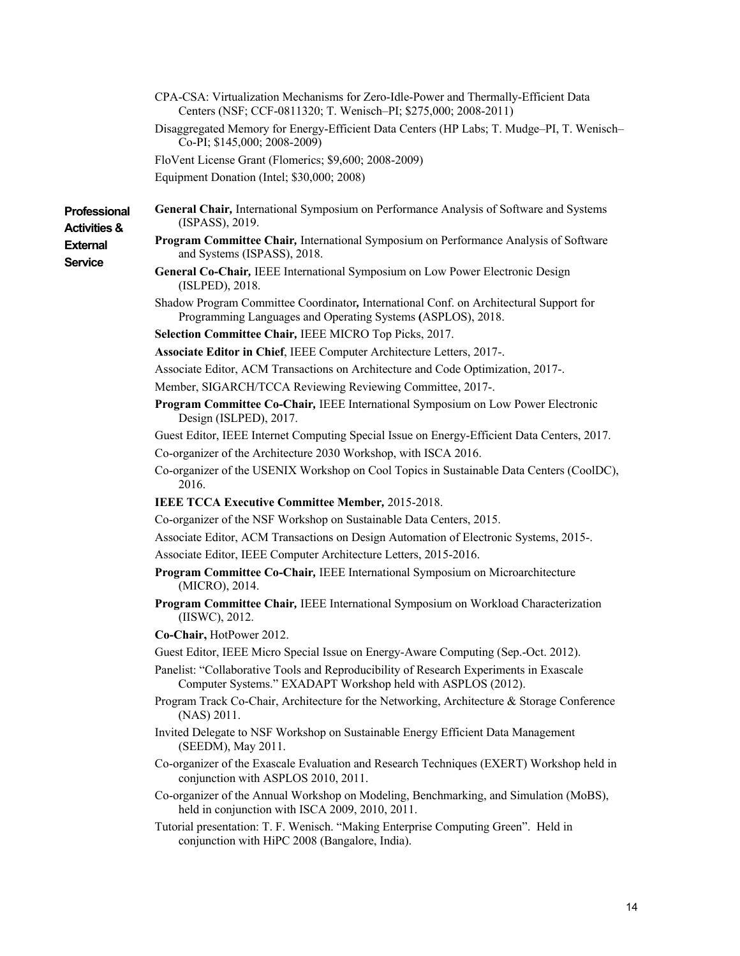| CPA-CSA: Virtualization Mechanisms for Zero-Idle-Power and Thermally-Efficient Data<br>Centers (NSF; CCF-0811320; T. Wenisch-PI; \$275,000; 2008-2011) |  |
|--------------------------------------------------------------------------------------------------------------------------------------------------------|--|
| Disaggregated Memory for Energy-Efficient Data Centers (HP Labs; T. Mudge-PI, T. Wenisch-<br>Co-PI; \$145,000; 2008-2009)                              |  |
| FloVent License Grant (Flomerics; \$9,600; 2008-2009)                                                                                                  |  |
| Equipment Donation (Intel; \$30,000; 2008)                                                                                                             |  |
| General Chair, International Symposium on Performance Analysis of Software and Systems<br>(ISPASS), 2019.                                              |  |
| Program Committee Chair, International Symposium on Performance Analysis of Software<br>and Systems (ISPASS), 2018.                                    |  |
| General Co-Chair, IEEE International Symposium on Low Power Electronic Design<br>(ISLPED), 2018.                                                       |  |
| Shadow Program Committee Coordinator, International Conf. on Architectural Support for<br>Programming Languages and Operating Systems (ASPLOS), 2018.  |  |
| Selection Committee Chair, IEEE MICRO Top Picks, 2017.                                                                                                 |  |
| Associate Editor in Chief, IEEE Computer Architecture Letters, 2017-.                                                                                  |  |
| Associate Editor, ACM Transactions on Architecture and Code Optimization, 2017-.                                                                       |  |
| Member, SIGARCH/TCCA Reviewing Reviewing Committee, 2017-.                                                                                             |  |
| Program Committee Co-Chair, IEEE International Symposium on Low Power Electronic<br>Design (ISLPED), 2017.                                             |  |
| Guest Editor, IEEE Internet Computing Special Issue on Energy-Efficient Data Centers, 2017.                                                            |  |
| Co-organizer of the Architecture 2030 Workshop, with ISCA 2016.                                                                                        |  |
| Co-organizer of the USENIX Workshop on Cool Topics in Sustainable Data Centers (CoolDC),<br>2016.                                                      |  |
| <b>IEEE TCCA Executive Committee Member, 2015-2018.</b>                                                                                                |  |
| Co-organizer of the NSF Workshop on Sustainable Data Centers, 2015.                                                                                    |  |
| Associate Editor, ACM Transactions on Design Automation of Electronic Systems, 2015-.                                                                  |  |
| Associate Editor, IEEE Computer Architecture Letters, 2015-2016.                                                                                       |  |
| Program Committee Co-Chair, IEEE International Symposium on Microarchitecture<br>(MICRO), 2014.                                                        |  |
| Program Committee Chair, IEEE International Symposium on Workload Characterization<br>(IISWC), 2012.                                                   |  |
| Co-Chair, HotPower 2012.                                                                                                                               |  |
| Guest Editor, IEEE Micro Special Issue on Energy-Aware Computing (Sep.-Oct. 2012).                                                                     |  |
| Panelist: "Collaborative Tools and Reproducibility of Research Experiments in Exascale<br>Computer Systems." EXADAPT Workshop held with ASPLOS (2012). |  |
| Program Track Co-Chair, Architecture for the Networking, Architecture & Storage Conference<br>(NAS) 2011.                                              |  |
| Invited Delegate to NSF Workshop on Sustainable Energy Efficient Data Management<br>(SEEDM), May 2011.                                                 |  |
| Co-organizer of the Exascale Evaluation and Research Techniques (EXERT) Workshop held in<br>conjunction with ASPLOS 2010, 2011.                        |  |
| Co-organizer of the Annual Workshop on Modeling, Benchmarking, and Simulation (MoBS),<br>held in conjunction with ISCA 2009, 2010, 2011.               |  |
| Tutorial presentation: T. F. Wenisch. "Making Enterprise Computing Green". Held in                                                                     |  |

conjunction with HiPC 2008 (Bangalore, India).

**Professional Activities & External Service**